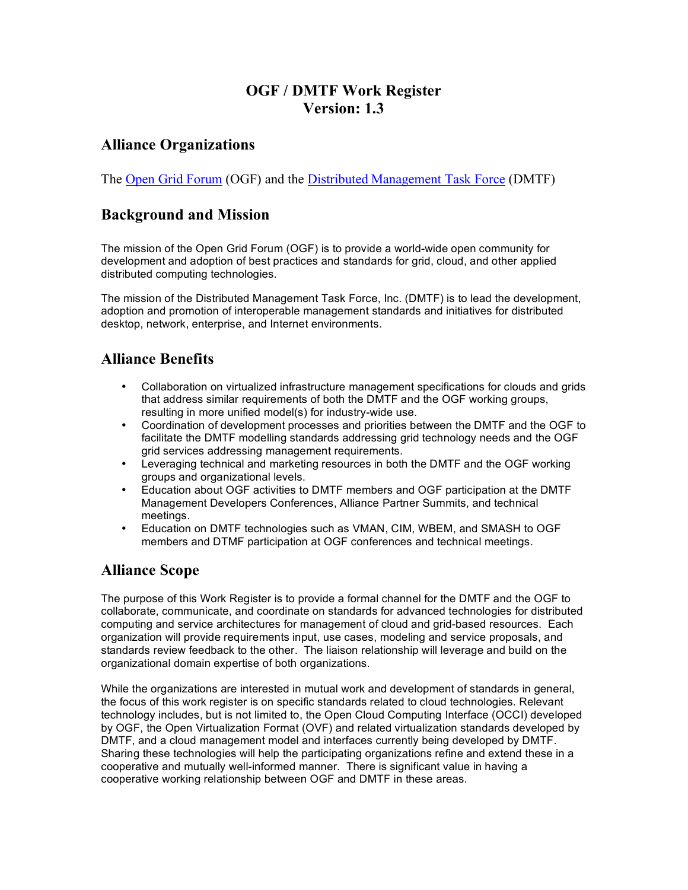# **OGF / DMTF Work Register Version: 1.3**

## **Alliance Organizations**

The Open Grid Forum (OGF) and the Distributed Management Task Force (DMTF)

### **Background and Mission**

The mission of the Open Grid Forum (OGF) is to provide a world-wide open community for development and adoption of best practices and standards for grid, cloud, and other applied distributed computing technologies.

The mission of the Distributed Management Task Force, Inc. (DMTF) is to lead the development, adoption and promotion of interoperable management standards and initiatives for distributed desktop, network, enterprise, and Internet environments.

#### **Alliance Benefits**

- Collaboration on virtualized infrastructure management specifications for clouds and grids that address similar requirements of both the DMTF and the OGF working groups, resulting in more unified model(s) for industry-wide use.
- Coordination of development processes and priorities between the DMTF and the OGF to facilitate the DMTF modelling standards addressing grid technology needs and the OGF grid services addressing management requirements.
- Leveraging technical and marketing resources in both the DMTF and the OGF working groups and organizational levels.
- Education about OGF activities to DMTF members and OGF participation at the DMTF Management Developers Conferences, Alliance Partner Summits, and technical meetings.
- Education on DMTF technologies such as VMAN, CIM, WBEM, and SMASH to OGF members and DTMF participation at OGF conferences and technical meetings.

### **Alliance Scope**

The purpose of this Work Register is to provide a formal channel for the DMTF and the OGF to collaborate, communicate, and coordinate on standards for advanced technologies for distributed computing and service architectures for management of cloud and grid-based resources. Each organization will provide requirements input, use cases, modeling and service proposals, and standards review feedback to the other. The liaison relationship will leverage and build on the organizational domain expertise of both organizations.

While the organizations are interested in mutual work and development of standards in general, the focus of this work register is on specific standards related to cloud technologies. Relevant technology includes, but is not limited to, the Open Cloud Computing Interface (OCCI) developed by OGF, the Open Virtualization Format (OVF) and related virtualization standards developed by DMTF, and a cloud management model and interfaces currently being developed by DMTF. Sharing these technologies will help the participating organizations refine and extend these in a cooperative and mutually well-informed manner. There is significant value in having a cooperative working relationship between OGF and DMTF in these areas.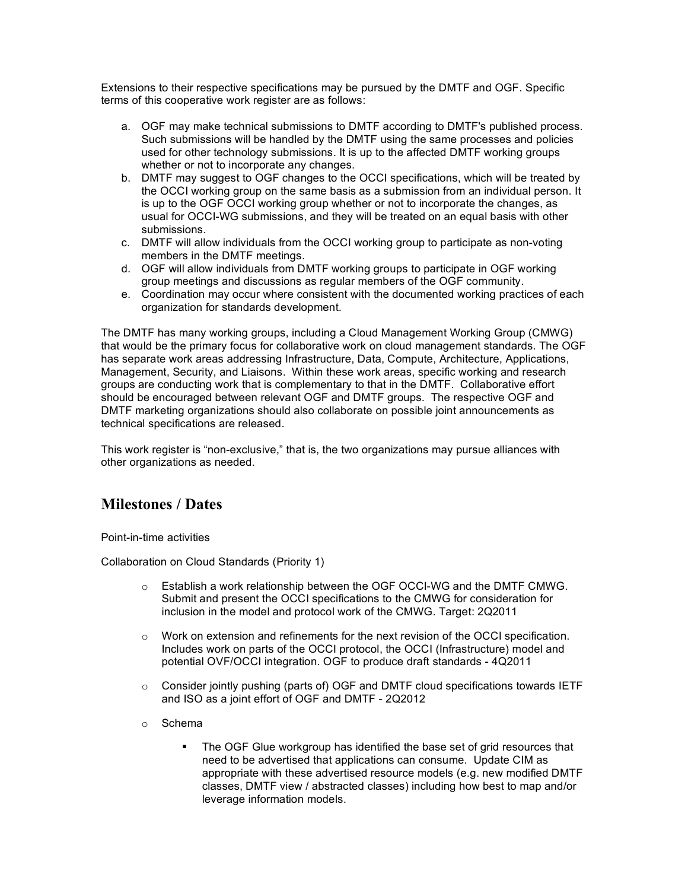Extensions to their respective specifications may be pursued by the DMTF and OGF. Specific terms of this cooperative work register are as follows:

- a. OGF may make technical submissions to DMTF according to DMTF's published process. Such submissions will be handled by the DMTF using the same processes and policies used for other technology submissions. It is up to the affected DMTF working groups whether or not to incorporate any changes.
- b. DMTF may suggest to OGF changes to the OCCI specifications, which will be treated by the OCCI working group on the same basis as a submission from an individual person. It is up to the OGF OCCI working group whether or not to incorporate the changes, as usual for OCCI-WG submissions, and they will be treated on an equal basis with other submissions.
- c. DMTF will allow individuals from the OCCI working group to participate as non-voting members in the DMTF meetings.
- d. OGF will allow individuals from DMTF working groups to participate in OGF working group meetings and discussions as regular members of the OGF community.
- e. Coordination may occur where consistent with the documented working practices of each organization for standards development.

The DMTF has many working groups, including a Cloud Management Working Group (CMWG) that would be the primary focus for collaborative work on cloud management standards. The OGF has separate work areas addressing Infrastructure, Data, Compute, Architecture, Applications, Management, Security, and Liaisons. Within these work areas, specific working and research groups are conducting work that is complementary to that in the DMTF. Collaborative effort should be encouraged between relevant OGF and DMTF groups. The respective OGF and DMTF marketing organizations should also collaborate on possible joint announcements as technical specifications are released.

This work register is "non-exclusive," that is, the two organizations may pursue alliances with other organizations as needed.

### **Milestones / Dates**

Point-in-time activities

Collaboration on Cloud Standards (Priority 1)

- $\circ$  Establish a work relationship between the OGF OCCI-WG and the DMTF CMWG. Submit and present the OCCI specifications to the CMWG for consideration for inclusion in the model and protocol work of the CMWG. Target: 2Q2011
- $\circ$  Work on extension and refinements for the next revision of the OCCI specification. Includes work on parts of the OCCI protocol, the OCCI (Infrastructure) model and potential OVF/OCCI integration. OGF to produce draft standards - 4Q2011
- $\circ$  Consider jointly pushing (parts of) OGF and DMTF cloud specifications towards IETF and ISO as a joint effort of OGF and DMTF - 2Q2012
- o Schema
	- The OGF Glue workgroup has identified the base set of grid resources that need to be advertised that applications can consume. Update CIM as appropriate with these advertised resource models (e.g. new modified DMTF classes, DMTF view / abstracted classes) including how best to map and/or leverage information models.